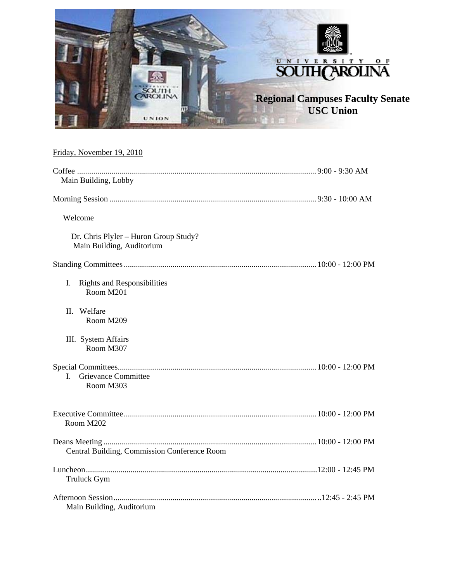

# Friday, November 19, 2010

| Main Building, Lobby                                               |  |
|--------------------------------------------------------------------|--|
|                                                                    |  |
| Welcome                                                            |  |
| Dr. Chris Plyler - Huron Group Study?<br>Main Building, Auditorium |  |
|                                                                    |  |
| I.<br><b>Rights and Responsibilities</b><br>Room M201              |  |
| Welfare<br>H.<br>Room M209                                         |  |
| III. System Affairs<br>Room M307                                   |  |
|                                                                    |  |
| <b>Grievance Committee</b><br>L<br>Room M303                       |  |
| Room M202                                                          |  |
| Central Building, Commission Conference Room                       |  |
| <b>Truluck Gym</b>                                                 |  |
| Main Building, Auditorium                                          |  |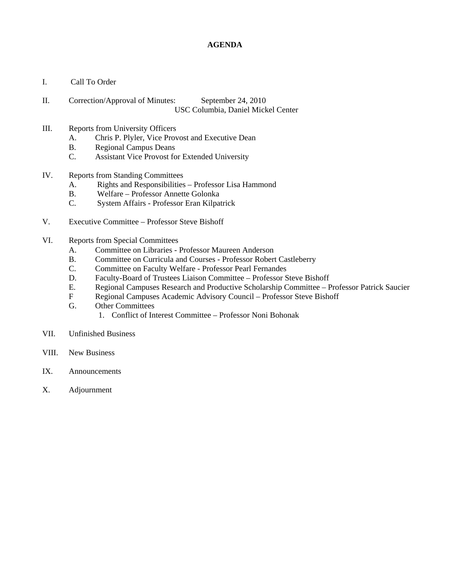#### **AGENDA**

- I. Call To Order
- II. Correction/Approval of Minutes: September 24, 2010 USC Columbia, Daniel Mickel Center
- III. Reports from University Officers
	- A. Chris P. Plyler, Vice Provost and Executive Dean
	- B. Regional Campus Deans
	- C. Assistant Vice Provost for Extended University
- IV. Reports from Standing Committees
	- A. Rights and Responsibilities Professor Lisa Hammond
	- B. Welfare Professor Annette Golonka<br>C. System Affairs Professor Eran Kilpat
	- System Affairs Professor Eran Kilpatrick
- V. Executive Committee Professor Steve Bishoff
- VI. Reports from Special Committees
	- A. Committee on Libraries Professor Maureen Anderson
	- B. Committee on Curricula and Courses Professor Robert Castleberry
	- C. Committee on Faculty Welfare Professor Pearl Fernandes
	- D. Faculty-Board of Trustees Liaison Committee Professor Steve Bishoff
	- E. Regional Campuses Research and Productive Scholarship Committee Professor Patrick Saucier
	- F Regional Campuses Academic Advisory Council Professor Steve Bishoff
	- G. Other Committees
		- 1. Conflict of Interest Committee Professor Noni Bohonak
- VII. Unfinished Business
- VIII. New Business
- IX. Announcements
- X. Adjournment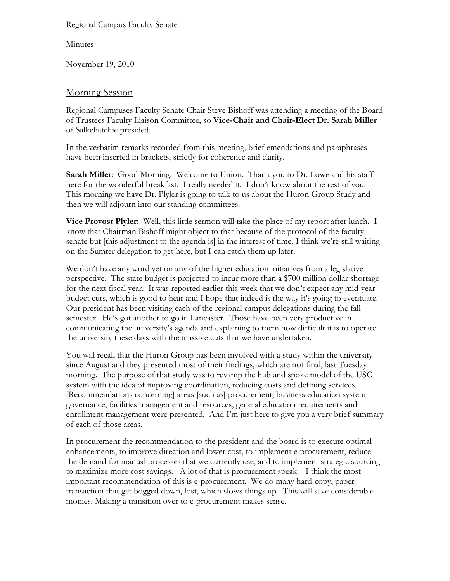Regional Campus Faculty Senate

Minutes

November 19, 2010

# Morning Session

Regional Campuses Faculty Senate Chair Steve Bishoff was attending a meeting of the Board of Trustees Faculty Liaison Committee, so **Vice-Chair and Chair-Elect Dr. Sarah Miller** of Salkehatchie presided.

In the verbatim remarks recorded from this meeting, brief emendations and paraphrases have been inserted in brackets, strictly for coherence and clarity.

**Sarah Miller**: Good Morning. Welcome to Union. Thank you to Dr. Lowe and his staff here for the wonderful breakfast. I really needed it. I don't know about the rest of you. This morning we have Dr. Plyler is going to talk to us about the Huron Group Study and then we will adjourn into our standing committees.

**Vice Provost Plyler:** Well, this little sermon will take the place of my report after lunch. I know that Chairman Bishoff might object to that because of the protocol of the faculty senate but [this adjustment to the agenda is] in the interest of time. I think we're still waiting on the Sumter delegation to get here, but I can catch them up later.

We don't have any word yet on any of the higher education initiatives from a legislative perspective. The state budget is projected to incur more than a \$700 million dollar shortage for the next fiscal year. It was reported earlier this week that we don't expect any mid-year budget cuts, which is good to hear and I hope that indeed is the way it's going to eventuate. Our president has been visiting each of the regional campus delegations during the fall semester. He's got another to go in Lancaster. Those have been very productive in communicating the university's agenda and explaining to them how difficult it is to operate the university these days with the massive cuts that we have undertaken.

You will recall that the Huron Group has been involved with a study within the university since August and they presented most of their findings, which are not final, last Tuesday morning. The purpose of that study was to revamp the hub and spoke model of the USC system with the idea of improving coordination, reducing costs and defining services. [Recommendations concerning] areas [such as] procurement, business education system governance, facilities management and resources, general education requirements and enrollment management were presented. And I'm just here to give you a very brief summary of each of those areas.

In procurement the recommendation to the president and the board is to execute optimal enhancements, to improve direction and lower cost, to implement e-procurement, reduce the demand for manual processes that we currently use, and to implement strategic sourcing to maximize more cost savings. A lot of that is procurement speak. I think the most important recommendation of this is e-procurement. We do many hard-copy, paper transaction that get bogged down, lost, which slows things up. This will save considerable monies. Making a transition over to e-procurement makes sense.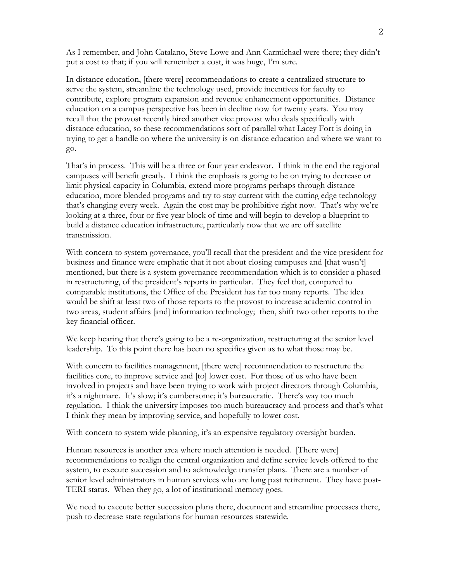As I remember, and John Catalano, Steve Lowe and Ann Carmichael were there; they didn't put a cost to that; if you will remember a cost, it was huge, I'm sure.

In distance education, [there were] recommendations to create a centralized structure to serve the system, streamline the technology used, provide incentives for faculty to contribute, explore program expansion and revenue enhancement opportunities. Distance education on a campus perspective has been in decline now for twenty years. You may recall that the provost recently hired another vice provost who deals specifically with distance education, so these recommendations sort of parallel what Lacey Fort is doing in trying to get a handle on where the university is on distance education and where we want to go.

That's in process. This will be a three or four year endeavor. I think in the end the regional campuses will benefit greatly. I think the emphasis is going to be on trying to decrease or limit physical capacity in Columbia, extend more programs perhaps through distance education, more blended programs and try to stay current with the cutting edge technology that's changing every week. Again the cost may be prohibitive right now. That's why we're looking at a three, four or five year block of time and will begin to develop a blueprint to build a distance education infrastructure, particularly now that we are off satellite transmission.

With concern to system governance, you'll recall that the president and the vice president for business and finance were emphatic that it not about closing campuses and [that wasn't] mentioned, but there is a system governance recommendation which is to consider a phased in restructuring, of the president's reports in particular. They feel that, compared to comparable institutions, the Office of the President has far too many reports. The idea would be shift at least two of those reports to the provost to increase academic control in two areas, student affairs [and] information technology; then, shift two other reports to the key financial officer.

We keep hearing that there's going to be a re-organization, restructuring at the senior level leadership. To this point there has been no specifics given as to what those may be.

With concern to facilities management, [there were] recommendation to restructure the facilities core, to improve service and [to] lower cost. For those of us who have been involved in projects and have been trying to work with project directors through Columbia, it's a nightmare. It's slow; it's cumbersome; it's bureaucratic. There's way too much regulation. I think the university imposes too much bureaucracy and process and that's what I think they mean by improving service, and hopefully to lower cost.

With concern to system wide planning, it's an expensive regulatory oversight burden.

Human resources is another area where much attention is needed. [There were] recommendations to realign the central organization and define service levels offered to the system, to execute succession and to acknowledge transfer plans. There are a number of senior level administrators in human services who are long past retirement. They have post-TERI status. When they go, a lot of institutional memory goes.

We need to execute better succession plans there, document and streamline processes there, push to decrease state regulations for human resources statewide.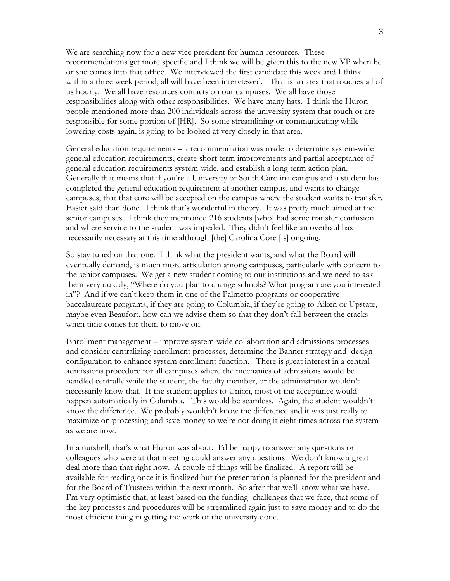We are searching now for a new vice president for human resources. These recommendations get more specific and I think we will be given this to the new VP when he or she comes into that office. We interviewed the first candidate this week and I think within a three week period, all will have been interviewed. That is an area that touches all of us hourly. We all have resources contacts on our campuses. We all have those responsibilities along with other responsibilities. We have many hats. I think the Huron people mentioned more than 200 individuals across the university system that touch or are responsible for some portion of [HR]. So some streamlining or communicating while lowering costs again, is going to be looked at very closely in that area.

General education requirements – a recommendation was made to determine system-wide general education requirements, create short term improvements and partial acceptance of general education requirements system-wide, and establish a long term action plan. Generally that means that if you're a University of South Carolina campus and a student has completed the general education requirement at another campus, and wants to change campuses, that that core will be accepted on the campus where the student wants to transfer. Easier said than done. I think that's wonderful in theory. It was pretty much aimed at the senior campuses. I think they mentioned 216 students [who] had some transfer confusion and where service to the student was impeded. They didn't feel like an overhaul has necessarily necessary at this time although [the] Carolina Core [is] ongoing.

So stay tuned on that one. I think what the president wants, and what the Board will eventually demand, is much more articulation among campuses, particularly with concern to the senior campuses. We get a new student coming to our institutions and we need to ask them very quickly, "Where do you plan to change schools? What program are you interested in"? And if we can't keep them in one of the Palmetto programs or cooperative baccalaureate programs, if they are going to Columbia, if they're going to Aiken or Upstate, maybe even Beaufort, how can we advise them so that they don't fall between the cracks when time comes for them to move on.

Enrollment management – improve system-wide collaboration and admissions processes and consider centralizing enrollment processes, determine the Banner strategy and design configuration to enhance system enrollment function. There is great interest in a central admissions procedure for all campuses where the mechanics of admissions would be handled centrally while the student, the faculty member, or the administrator wouldn't necessarily know that. If the student applies to Union, most of the acceptance would happen automatically in Columbia. This would be seamless. Again, the student wouldn't know the difference. We probably wouldn't know the difference and it was just really to maximize on processing and save money so we're not doing it eight times across the system as we are now.

In a nutshell, that's what Huron was about. I'd be happy to answer any questions or colleagues who were at that meeting could answer any questions. We don't know a great deal more than that right now. A couple of things will be finalized. A report will be available for reading once it is finalized but the presentation is planned for the president and for the Board of Trustees within the next month. So after that we'll know what we have. I'm very optimistic that, at least based on the funding challenges that we face, that some of the key processes and procedures will be streamlined again just to save money and to do the most efficient thing in getting the work of the university done.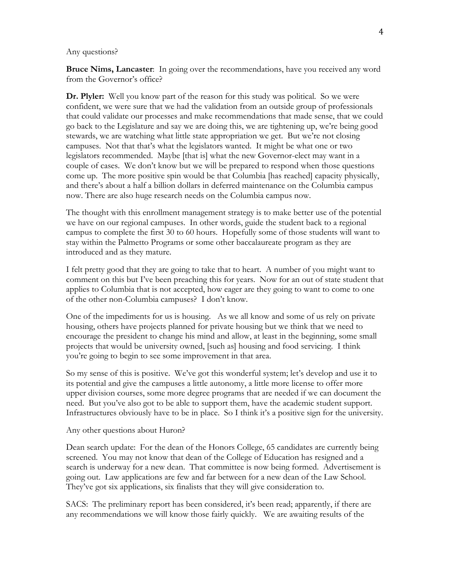#### Any questions?

**Bruce Nims, Lancaster**: In going over the recommendations, have you received any word from the Governor's office?

**Dr. Plyler:** Well you know part of the reason for this study was political. So we were confident, we were sure that we had the validation from an outside group of professionals that could validate our processes and make recommendations that made sense, that we could go back to the Legislature and say we are doing this, we are tightening up, we're being good stewards, we are watching what little state appropriation we get. But we're not closing campuses. Not that that's what the legislators wanted. It might be what one or two legislators recommended. Maybe [that is] what the new Governor-elect may want in a couple of cases. We don't know but we will be prepared to respond when those questions come up. The more positive spin would be that Columbia [has reached] capacity physically, and there's about a half a billion dollars in deferred maintenance on the Columbia campus now. There are also huge research needs on the Columbia campus now.

The thought with this enrollment management strategy is to make better use of the potential we have on our regional campuses. In other words, guide the student back to a regional campus to complete the first 30 to 60 hours. Hopefully some of those students will want to stay within the Palmetto Programs or some other baccalaureate program as they are introduced and as they mature.

I felt pretty good that they are going to take that to heart. A number of you might want to comment on this but I've been preaching this for years. Now for an out of state student that applies to Columbia that is not accepted, how eager are they going to want to come to one of the other non-Columbia campuses? I don't know.

One of the impediments for us is housing. As we all know and some of us rely on private housing, others have projects planned for private housing but we think that we need to encourage the president to change his mind and allow, at least in the beginning, some small projects that would be university owned, [such as] housing and food servicing. I think you're going to begin to see some improvement in that area.

So my sense of this is positive. We've got this wonderful system; let's develop and use it to its potential and give the campuses a little autonomy, a little more license to offer more upper division courses, some more degree programs that are needed if we can document the need. But you've also got to be able to support them, have the academic student support. Infrastructures obviously have to be in place. So I think it's a positive sign for the university.

Any other questions about Huron?

Dean search update: For the dean of the Honors College, 65 candidates are currently being screened. You may not know that dean of the College of Education has resigned and a search is underway for a new dean. That committee is now being formed. Advertisement is going out. Law applications are few and far between for a new dean of the Law School. They've got six applications, six finalists that they will give consideration to.

SACS: The preliminary report has been considered, it's been read; apparently, if there are any recommendations we will know those fairly quickly. We are awaiting results of the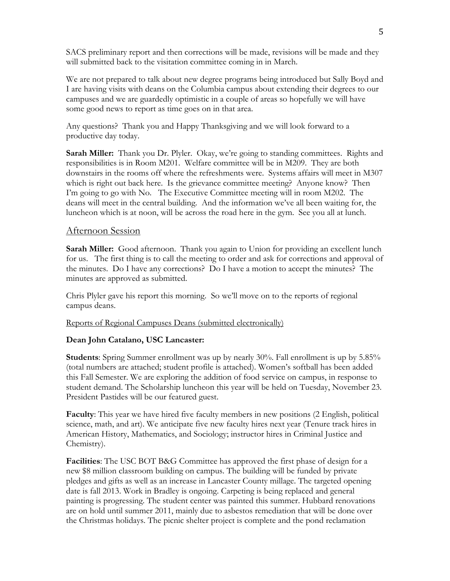SACS preliminary report and then corrections will be made, revisions will be made and they will submitted back to the visitation committee coming in in March.

We are not prepared to talk about new degree programs being introduced but Sally Boyd and I are having visits with deans on the Columbia campus about extending their degrees to our campuses and we are guardedly optimistic in a couple of areas so hopefully we will have some good news to report as time goes on in that area.

Any questions? Thank you and Happy Thanksgiving and we will look forward to a productive day today.

**Sarah Miller:** Thank you Dr. Plyler. Okay, we're going to standing committees. Rights and responsibilities is in Room M201. Welfare committee will be in M209. They are both downstairs in the rooms off where the refreshments were. Systems affairs will meet in M307 which is right out back here. Is the grievance committee meeting? Anyone know? Then I'm going to go with No. The Executive Committee meeting will in room M202. The deans will meet in the central building. And the information we've all been waiting for, the luncheon which is at noon, will be across the road here in the gym. See you all at lunch.

### Afternoon Session

**Sarah Miller:** Good afternoon. Thank you again to Union for providing an excellent lunch for us. The first thing is to call the meeting to order and ask for corrections and approval of the minutes. Do I have any corrections? Do I have a motion to accept the minutes? The minutes are approved as submitted.

Chris Plyler gave his report this morning. So we'll move on to the reports of regional campus deans.

Reports of Regional Campuses Deans (submitted electronically)

#### **Dean John Catalano, USC Lancaster:**

**Students**: Spring Summer enrollment was up by nearly 30%. Fall enrollment is up by 5.85% (total numbers are attached; student profile is attached). Women's softball has been added this Fall Semester. We are exploring the addition of food service on campus, in response to student demand. The Scholarship luncheon this year will be held on Tuesday, November 23. President Pastides will be our featured guest.

**Faculty**: This year we have hired five faculty members in new positions (2 English, political science, math, and art). We anticipate five new faculty hires next year (Tenure track hires in American History, Mathematics, and Sociology; instructor hires in Criminal Justice and Chemistry).

**Facilities**: The USC BOT B&G Committee has approved the first phase of design for a new \$8 million classroom building on campus. The building will be funded by private pledges and gifts as well as an increase in Lancaster County millage. The targeted opening date is fall 2013. Work in Bradley is ongoing. Carpeting is being replaced and general painting is progressing. The student center was painted this summer. Hubbard renovations are on hold until summer 2011, mainly due to asbestos remediation that will be done over the Christmas holidays. The picnic shelter project is complete and the pond reclamation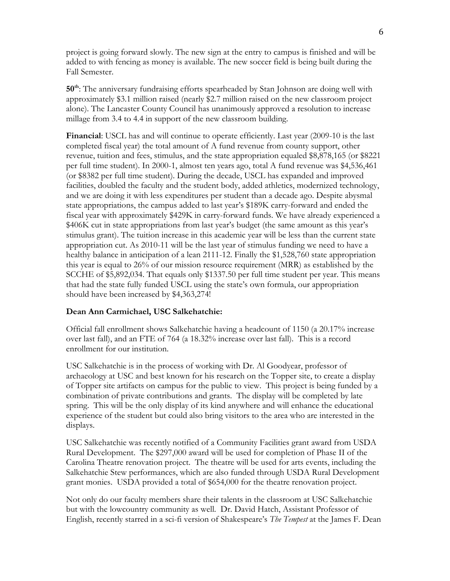project is going forward slowly. The new sign at the entry to campus is finished and will be added to with fencing as money is available. The new soccer field is being built during the Fall Semester.

**50th**: The anniversary fundraising efforts spearheaded by Stan Johnson are doing well with approximately \$3.1 million raised (nearly \$2.7 million raised on the new classroom project alone). The Lancaster County Council has unanimously approved a resolution to increase millage from 3.4 to 4.4 in support of the new classroom building.

**Financial**: USCL has and will continue to operate efficiently. Last year (2009-10 is the last completed fiscal year) the total amount of A fund revenue from county support, other revenue, tuition and fees, stimulus, and the state appropriation equaled \$8,878,165 (or \$8221 per full time student). In 2000-1, almost ten years ago, total A fund revenue was \$4,536,461 (or \$8382 per full time student). During the decade, USCL has expanded and improved facilities, doubled the faculty and the student body, added athletics, modernized technology, and we are doing it with less expenditures per student than a decade ago. Despite abysmal state appropriations, the campus added to last year's \$189K carry-forward and ended the fiscal year with approximately \$429K in carry-forward funds. We have already experienced a \$406K cut in state appropriations from last year's budget (the same amount as this year's stimulus grant). The tuition increase in this academic year will be less than the current state appropriation cut. As 2010-11 will be the last year of stimulus funding we need to have a healthy balance in anticipation of a lean 2111-12. Finally the \$1,528,760 state appropriation this year is equal to 26% of our mission resource requirement (MRR) as established by the SCCHE of \$5,892,034. That equals only \$1337.50 per full time student per year. This means that had the state fully funded USCL using the state's own formula, our appropriation should have been increased by \$4,363,274!

### **Dean Ann Carmichael, USC Salkehatchie:**

Official fall enrollment shows Salkehatchie having a headcount of 1150 (a 20.17% increase over last fall), and an FTE of 764 (a 18.32% increase over last fall). This is a record enrollment for our institution.

USC Salkehatchie is in the process of working with Dr. Al Goodyear, professor of archaeology at USC and best known for his research on the Topper site, to create a display of Topper site artifacts on campus for the public to view. This project is being funded by a combination of private contributions and grants. The display will be completed by late spring. This will be the only display of its kind anywhere and will enhance the educational experience of the student but could also bring visitors to the area who are interested in the displays.

USC Salkehatchie was recently notified of a Community Facilities grant award from USDA Rural Development. The \$297,000 award will be used for completion of Phase II of the Carolina Theatre renovation project. The theatre will be used for arts events, including the Salkehatchie Stew performances, which are also funded through USDA Rural Development grant monies. USDA provided a total of \$654,000 for the theatre renovation project.

Not only do our faculty members share their talents in the classroom at USC Salkehatchie but with the lowcountry community as well. Dr. David Hatch, Assistant Professor of English, recently starred in a sci-fi version of Shakespeare's *The Tempest* at the James F. Dean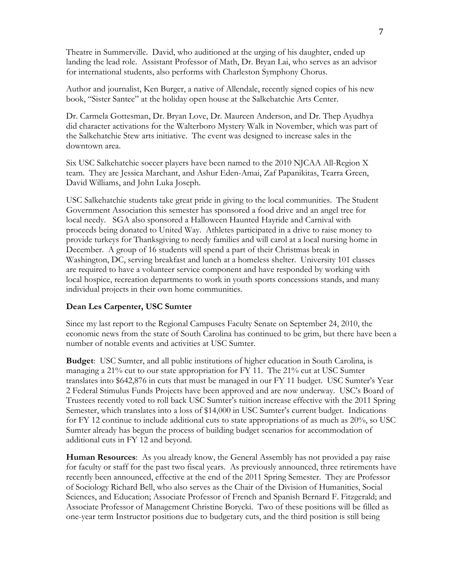Theatre in Summerville. David, who auditioned at the urging of his daughter, ended up landing the lead role. Assistant Professor of Math, Dr. Bryan Lai, who serves as an advisor for international students, also performs with Charleston Symphony Chorus.

Author and journalist, Ken Burger, a native of Allendale, recently signed copies of his new book, "Sister Santee" at the holiday open house at the Salkehatchie Arts Center.

Dr. Carmela Gottesman, Dr. Bryan Love, Dr. Maureen Anderson, and Dr. Thep Ayudhya did character activations for the Walterboro Mystery Walk in November, which was part of the Salkehatchie Stew arts initiative. The event was designed to increase sales in the downtown area.

Six USC Salkehatchie soccer players have been named to the 2010 NJCAA All-Region X team. They are Jessica Marchant, and Ashur Eden-Amai, Zaf Papanikitas, Tearra Green, David Williams, and John Luka Joseph.

USC Salkehatchie students take great pride in giving to the local communities. The Student Government Association this semester has sponsored a food drive and an angel tree for local needy. SGA also sponsored a Halloween Haunted Hayride and Carnival with proceeds being donated to United Way. Athletes participated in a drive to raise money to provide turkeys for Thanksgiving to needy families and will carol at a local nursing home in December. A group of 16 students will spend a part of their Christmas break in Washington, DC, serving breakfast and lunch at a homeless shelter. University 101 classes are required to have a volunteer service component and have responded by working with local hospice, recreation departments to work in youth sports concessions stands, and many individual projects in their own home communities.

### **Dean Les Carpenter, USC Sumter**

Since my last report to the Regional Campuses Faculty Senate on September 24, 2010, the economic news from the state of South Carolina has continued to be grim, but there have been a number of notable events and activities at USC Sumter.

**Budget**: USC Sumter, and all public institutions of higher education in South Carolina, is managing a 21% cut to our state appropriation for FY 11. The 21% cut at USC Sumter translates into \$642,876 in cuts that must be managed in our FY 11 budget. USC Sumter's Year 2 Federal Stimulus Funds Projects have been approved and are now underway. USC's Board of Trustees recently voted to roll back USC Sumter's tuition increase effective with the 2011 Spring Semester, which translates into a loss of \$14,000 in USC Sumter's current budget. Indications for FY 12 continue to include additional cuts to state appropriations of as much as 20%, so USC Sumter already has begun the process of building budget scenarios for accommodation of additional cuts in FY 12 and beyond.

**Human Resources**: As you already know, the General Assembly has not provided a pay raise for faculty or staff for the past two fiscal years. As previously announced, three retirements have recently been announced, effective at the end of the 2011 Spring Semester. They are Professor of Sociology Richard Bell, who also serves as the Chair of the Division of Humanities, Social Sciences, and Education; Associate Professor of French and Spanish Bernard F. Fitzgerald; and Associate Professor of Management Christine Borycki. Two of these positions will be filled as one-year term Instructor positions due to budgetary cuts, and the third position is still being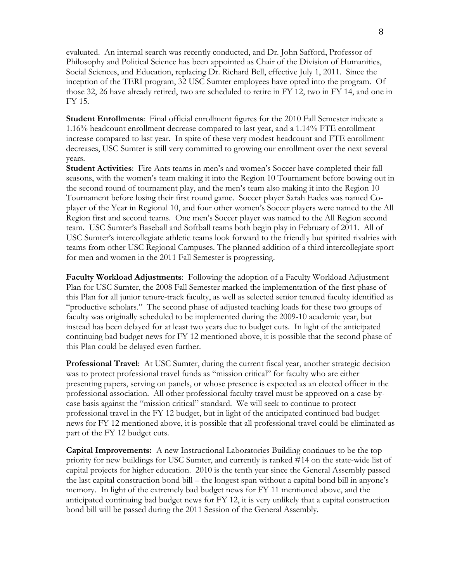evaluated. An internal search was recently conducted, and Dr. John Safford, Professor of Philosophy and Political Science has been appointed as Chair of the Division of Humanities, Social Sciences, and Education, replacing Dr. Richard Bell, effective July 1, 2011. Since the inception of the TERI program, 32 USC Sumter employees have opted into the program. Of those 32, 26 have already retired, two are scheduled to retire in FY 12, two in FY 14, and one in FY 15.

**Student Enrollments**: Final official enrollment figures for the 2010 Fall Semester indicate a 1.16% headcount enrollment decrease compared to last year, and a 1.14% FTE enrollment increase compared to last year. In spite of these very modest headcount and FTE enrollment decreases, USC Sumter is still very committed to growing our enrollment over the next several years.

**Student Activities**: Fire Ants teams in men's and women's Soccer have completed their fall seasons, with the women's team making it into the Region 10 Tournament before bowing out in the second round of tournament play, and the men's team also making it into the Region 10 Tournament before losing their first round game. Soccer player Sarah Eades was named Coplayer of the Year in Regional 10, and four other women's Soccer players were named to the All Region first and second teams. One men's Soccer player was named to the All Region second team. USC Sumter's Baseball and Softball teams both begin play in February of 2011. All of USC Sumter's intercollegiate athletic teams look forward to the friendly but spirited rivalries with teams from other USC Regional Campuses. The planned addition of a third intercollegiate sport for men and women in the 2011 Fall Semester is progressing.

**Faculty Workload Adjustments**: Following the adoption of a Faculty Workload Adjustment Plan for USC Sumter, the 2008 Fall Semester marked the implementation of the first phase of this Plan for all junior tenure-track faculty, as well as selected senior tenured faculty identified as "productive scholars." The second phase of adjusted teaching loads for these two groups of faculty was originally scheduled to be implemented during the 2009-10 academic year, but instead has been delayed for at least two years due to budget cuts. In light of the anticipated continuing bad budget news for FY 12 mentioned above, it is possible that the second phase of this Plan could be delayed even further.

**Professional Travel**: At USC Sumter, during the current fiscal year, another strategic decision was to protect professional travel funds as "mission critical" for faculty who are either presenting papers, serving on panels, or whose presence is expected as an elected officer in the professional association. All other professional faculty travel must be approved on a case-bycase basis against the "mission critical" standard. We will seek to continue to protect professional travel in the FY 12 budget, but in light of the anticipated continued bad budget news for FY 12 mentioned above, it is possible that all professional travel could be eliminated as part of the FY 12 budget cuts.

**Capital Improvements:** A new Instructional Laboratories Building continues to be the top priority for new buildings for USC Sumter, and currently is ranked #14 on the state-wide list of capital projects for higher education. 2010 is the tenth year since the General Assembly passed the last capital construction bond bill – the longest span without a capital bond bill in anyone's memory. In light of the extremely bad budget news for FY 11 mentioned above, and the anticipated continuing bad budget news for FY 12, it is very unlikely that a capital construction bond bill will be passed during the 2011 Session of the General Assembly.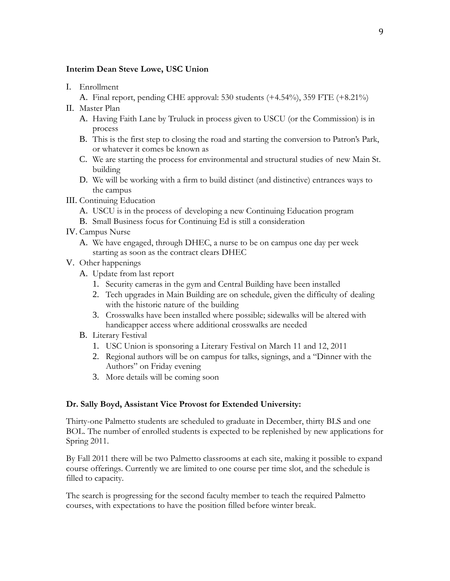### **Interim Dean Steve Lowe, USC Union**

- I. Enrollment
	- A. Final report, pending CHE approval: 530 students (+4.54%), 359 FTE (+8.21%)
- II. Master Plan
	- A. Having Faith Lane by Truluck in process given to USCU (or the Commission) is in process
	- B. This is the first step to closing the road and starting the conversion to Patron's Park, or whatever it comes be known as
	- C. We are starting the process for environmental and structural studies of new Main St. building
	- D. We will be working with a firm to build distinct (and distinctive) entrances ways to the campus
- III. Continuing Education
	- A. USCU is in the process of developing a new Continuing Education program
	- B. Small Business focus for Continuing Ed is still a consideration
- IV. Campus Nurse
	- A. We have engaged, through DHEC, a nurse to be on campus one day per week starting as soon as the contract clears DHEC
- V. Other happenings
	- A. Update from last report
		- 1. Security cameras in the gym and Central Building have been installed
		- 2. Tech upgrades in Main Building are on schedule, given the difficulty of dealing with the historic nature of the building
		- 3. Crosswalks have been installed where possible; sidewalks will be altered with handicapper access where additional crosswalks are needed
	- B. Literary Festival
		- 1. USC Union is sponsoring a Literary Festival on March 11 and 12, 2011
		- 2. Regional authors will be on campus for talks, signings, and a "Dinner with the Authors" on Friday evening
		- 3. More details will be coming soon

### **Dr. Sally Boyd, Assistant Vice Provost for Extended University:**

Thirty-one Palmetto students are scheduled to graduate in December, thirty BLS and one BOL. The number of enrolled students is expected to be replenished by new applications for Spring 2011.

By Fall 2011 there will be two Palmetto classrooms at each site, making it possible to expand course offerings. Currently we are limited to one course per time slot, and the schedule is filled to capacity.

The search is progressing for the second faculty member to teach the required Palmetto courses, with expectations to have the position filled before winter break.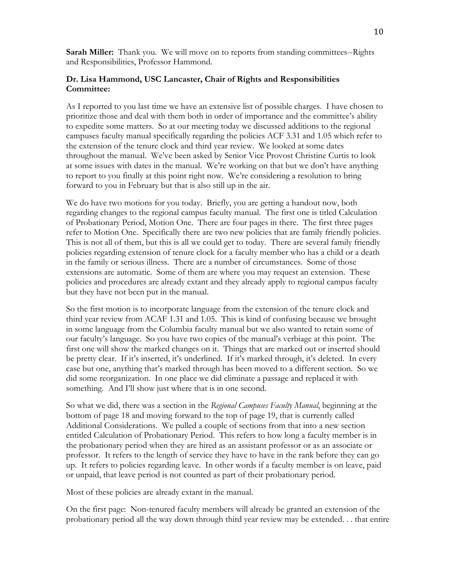**Sarah Miller:** Thank you. We will move on to reports from standing committees--Rights and Responsibilities, Professor Hammond.

#### **Dr. Lisa Hammond, USC Lancaster, Chair of Rights and Responsibilities Committee:**

As I reported to you last time we have an extensive list of possible charges. I have chosen to prioritize those and deal with them both in order of importance and the committee's ability to expedite some matters. So at our meeting today we discussed additions to the regional campuses faculty manual specifically regarding the policies ACF 3.31 and 1.05 which refer to the extension of the tenure clock and third year review. We looked at some dates throughout the manual. We've been asked by Senior Vice Provost Christine Curtis to look at some issues with dates in the manual. We're working on that but we don't have anything to report to you finally at this point right now. We're considering a resolution to bring forward to you in February but that is also still up in the air.

We do have two motions for you today. Briefly, you are getting a handout now, both regarding changes to the regional campus faculty manual. The first one is titled Calculation of Probationary Period, Motion One. There are four pages in there. The first three pages refer to Motion One. Specifically there are two new policies that are family friendly policies. This is not all of them, but this is all we could get to today. There are several family friendly policies regarding extension of tenure clock for a faculty member who has a child or a death in the family or serious illness. There are a number of circumstances. Some of those extensions are automatic. Some of them are where you may request an extension. These policies and procedures are already extant and they already apply to regional campus faculty but they have not been put in the manual.

So the first motion is to incorporate language from the extension of the tenure clock and third year review from ACAF 1.31 and 1.05. This is kind of confusing because we brought in some language from the Columbia faculty manual but we also wanted to retain some of our faculty's language. So you have two copies of the manual's verbiage at this point. The first one will show the marked changes on it. Things that are marked out or inserted should be pretty clear. If it's inserted, it's underlined. If it's marked through, it's deleted. In every case but one, anything that's marked through has been moved to a different section. So we did some reorganization. In one place we did eliminate a passage and replaced it with something. And I'll show just where that is in one second.

So what we did, there was a section in the *Regional Campuses Faculty Manual*, beginning at the bottom of page 18 and moving forward to the top of page 19, that is currently called Additional Considerations. We pulled a couple of sections from that into a new section entitled Calculation of Probationary Period. This refers to how long a faculty member is in the probationary period when they are hired as an assistant professor or as an associate or professor. It refers to the length of service they have to have in the rank before they can go up. It refers to policies regarding leave. In other words if a faculty member is on leave, paid or unpaid, that leave period is not counted as part of their probationary period.

Most of these policies are already extant in the manual.

On the first page: Non-tenured faculty members will already be granted an extension of the probationary period all the way down through third year review may be extended. . . that entire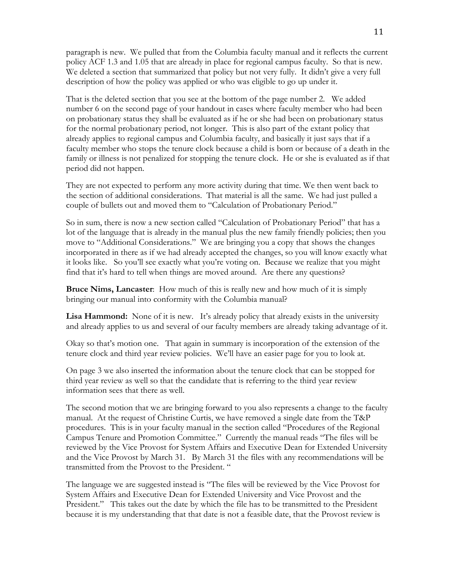paragraph is new. We pulled that from the Columbia faculty manual and it reflects the current policy ACF 1.3 and 1.05 that are already in place for regional campus faculty. So that is new. We deleted a section that summarized that policy but not very fully. It didn't give a very full description of how the policy was applied or who was eligible to go up under it.

That is the deleted section that you see at the bottom of the page number 2. We added number 6 on the second page of your handout in cases where faculty member who had been on probationary status they shall be evaluated as if he or she had been on probationary status for the normal probationary period, not longer. This is also part of the extant policy that already applies to regional campus and Columbia faculty, and basically it just says that if a faculty member who stops the tenure clock because a child is born or because of a death in the family or illness is not penalized for stopping the tenure clock. He or she is evaluated as if that period did not happen.

They are not expected to perform any more activity during that time. We then went back to the section of additional considerations. That material is all the same. We had just pulled a couple of bullets out and moved them to "Calculation of Probationary Period."

So in sum, there is now a new section called "Calculation of Probationary Period" that has a lot of the language that is already in the manual plus the new family friendly policies; then you move to "Additional Considerations." We are bringing you a copy that shows the changes incorporated in there as if we had already accepted the changes, so you will know exactly what it looks like. So you'll see exactly what you're voting on. Because we realize that you might find that it's hard to tell when things are moved around. Are there any questions?

**Bruce Nims, Lancaster**: How much of this is really new and how much of it is simply bringing our manual into conformity with the Columbia manual?

Lisa Hammond: None of it is new. It's already policy that already exists in the university and already applies to us and several of our faculty members are already taking advantage of it.

Okay so that's motion one. That again in summary is incorporation of the extension of the tenure clock and third year review policies. We'll have an easier page for you to look at.

On page 3 we also inserted the information about the tenure clock that can be stopped for third year review as well so that the candidate that is referring to the third year review information sees that there as well.

The second motion that we are bringing forward to you also represents a change to the faculty manual. At the request of Christine Curtis, we have removed a single date from the T&P procedures. This is in your faculty manual in the section called "Procedures of the Regional Campus Tenure and Promotion Committee." Currently the manual reads "The files will be reviewed by the Vice Provost for System Affairs and Executive Dean for Extended University and the Vice Provost by March 31. By March 31 the files with any recommendations will be transmitted from the Provost to the President. "

The language we are suggested instead is "The files will be reviewed by the Vice Provost for System Affairs and Executive Dean for Extended University and Vice Provost and the President." This takes out the date by which the file has to be transmitted to the President because it is my understanding that that date is not a feasible date, that the Provost review is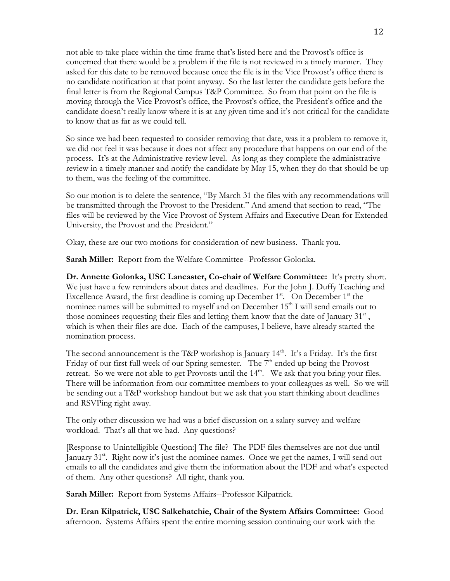not able to take place within the time frame that's listed here and the Provost's office is concerned that there would be a problem if the file is not reviewed in a timely manner. They asked for this date to be removed because once the file is in the Vice Provost's office there is no candidate notification at that point anyway. So the last letter the candidate gets before the final letter is from the Regional Campus T&P Committee. So from that point on the file is moving through the Vice Provost's office, the Provost's office, the President's office and the candidate doesn't really know where it is at any given time and it's not critical for the candidate to know that as far as we could tell.

So since we had been requested to consider removing that date, was it a problem to remove it, we did not feel it was because it does not affect any procedure that happens on our end of the process. It's at the Administrative review level. As long as they complete the administrative review in a timely manner and notify the candidate by May 15, when they do that should be up to them, was the feeling of the committee.

So our motion is to delete the sentence, "By March 31 the files with any recommendations will be transmitted through the Provost to the President." And amend that section to read, "The files will be reviewed by the Vice Provost of System Affairs and Executive Dean for Extended University, the Provost and the President."

Okay, these are our two motions for consideration of new business. Thank you.

**Sarah Miller:** Report from the Welfare Committee--Professor Golonka.

**Dr. Annette Golonka, USC Lancaster, Co-chair of Welfare Committee:** It's pretty short. We just have a few reminders about dates and deadlines. For the John J. Duffy Teaching and Excellence Award, the first deadline is coming up December  $1<sup>st</sup>$ . On December  $1<sup>st</sup>$  the nominee names will be submitted to myself and on December  $15<sup>th</sup>$  I will send emails out to those nominees requesting their files and letting them know that the date of January  $31<sup>st</sup>$ , which is when their files are due. Each of the campuses, I believe, have already started the nomination process.

The second announcement is the T&P workshop is January  $14<sup>th</sup>$ . It's a Friday. It's the first Friday of our first full week of our Spring semester. The 7<sup>th</sup> ended up being the Provost retreat. So we were not able to get Provosts until the 14<sup>th</sup>. We ask that you bring your files. There will be information from our committee members to your colleagues as well. So we will be sending out a T&P workshop handout but we ask that you start thinking about deadlines and RSVPing right away.

The only other discussion we had was a brief discussion on a salary survey and welfare workload. That's all that we had. Any questions?

[Response to Unintelligible Question:] The file? The PDF files themselves are not due until January  $31^{st}$ . Right now it's just the nominee names. Once we get the names, I will send out emails to all the candidates and give them the information about the PDF and what's expected of them. Any other questions? All right, thank you.

**Sarah Miller:** Report from Systems Affairs--Professor Kilpatrick.

**Dr. Eran Kilpatrick, USC Salkehatchie, Chair of the System Affairs Committee:** Good afternoon. Systems Affairs spent the entire morning session continuing our work with the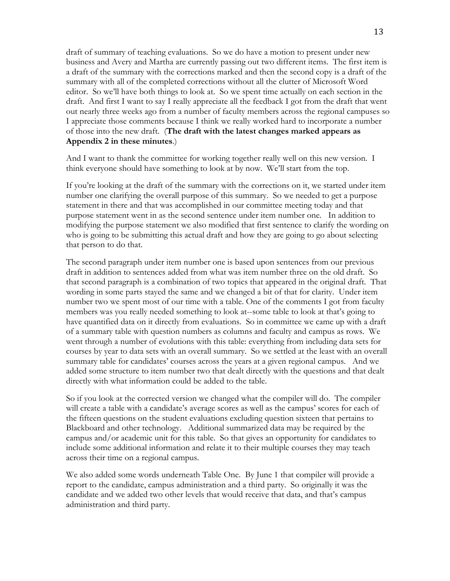draft of summary of teaching evaluations. So we do have a motion to present under new business and Avery and Martha are currently passing out two different items. The first item is a draft of the summary with the corrections marked and then the second copy is a draft of the summary with all of the completed corrections without all the clutter of Microsoft Word editor. So we'll have both things to look at. So we spent time actually on each section in the draft. And first I want to say I really appreciate all the feedback I got from the draft that went out nearly three weeks ago from a number of faculty members across the regional campuses so I appreciate those comments because I think we really worked hard to incorporate a number of those into the new draft. (**The draft with the latest changes marked appears as Appendix 2 in these minutes**.)

And I want to thank the committee for working together really well on this new version. I think everyone should have something to look at by now. We'll start from the top.

If you're looking at the draft of the summary with the corrections on it, we started under item number one clarifying the overall purpose of this summary. So we needed to get a purpose statement in there and that was accomplished in our committee meeting today and that purpose statement went in as the second sentence under item number one. In addition to modifying the purpose statement we also modified that first sentence to clarify the wording on who is going to be submitting this actual draft and how they are going to go about selecting that person to do that.

The second paragraph under item number one is based upon sentences from our previous draft in addition to sentences added from what was item number three on the old draft. So that second paragraph is a combination of two topics that appeared in the original draft. That wording in some parts stayed the same and we changed a bit of that for clarity. Under item number two we spent most of our time with a table. One of the comments I got from faculty members was you really needed something to look at--some table to look at that's going to have quantified data on it directly from evaluations. So in committee we came up with a draft of a summary table with question numbers as columns and faculty and campus as rows. We went through a number of evolutions with this table: everything from including data sets for courses by year to data sets with an overall summary. So we settled at the least with an overall summary table for candidates' courses across the years at a given regional campus. And we added some structure to item number two that dealt directly with the questions and that dealt directly with what information could be added to the table.

So if you look at the corrected version we changed what the compiler will do. The compiler will create a table with a candidate's average scores as well as the campus' scores for each of the fifteen questions on the student evaluations excluding question sixteen that pertains to Blackboard and other technology. Additional summarized data may be required by the campus and/or academic unit for this table. So that gives an opportunity for candidates to include some additional information and relate it to their multiple courses they may teach across their time on a regional campus.

We also added some words underneath Table One. By June 1 that compiler will provide a report to the candidate, campus administration and a third party. So originally it was the candidate and we added two other levels that would receive that data, and that's campus administration and third party.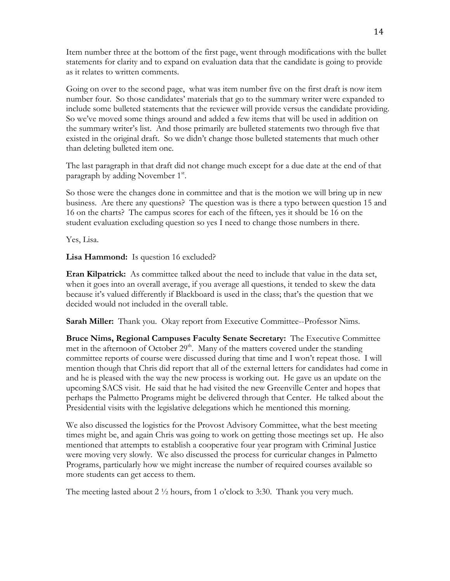Item number three at the bottom of the first page, went through modifications with the bullet statements for clarity and to expand on evaluation data that the candidate is going to provide as it relates to written comments.

Going on over to the second page, what was item number five on the first draft is now item number four. So those candidates' materials that go to the summary writer were expanded to include some bulleted statements that the reviewer will provide versus the candidate providing. So we've moved some things around and added a few items that will be used in addition on the summary writer's list. And those primarily are bulleted statements two through five that existed in the original draft. So we didn't change those bulleted statements that much other than deleting bulleted item one.

The last paragraph in that draft did not change much except for a due date at the end of that paragraph by adding November 1<sup>st</sup>.

So those were the changes done in committee and that is the motion we will bring up in new business. Are there any questions? The question was is there a typo between question 15 and 16 on the charts? The campus scores for each of the fifteen, yes it should be 16 on the student evaluation excluding question so yes I need to change those numbers in there.

Yes, Lisa.

**Lisa Hammond:** Is question 16 excluded?

**Eran Kilpatrick:** As committee talked about the need to include that value in the data set, when it goes into an overall average, if you average all questions, it tended to skew the data because it's valued differently if Blackboard is used in the class; that's the question that we decided would not included in the overall table.

**Sarah Miller:** Thank you. Okay report from Executive Committee--Professor Nims.

**Bruce Nims, Regional Campuses Faculty Senate Secretary:** The Executive Committee met in the afternoon of October 29<sup>th</sup>. Many of the matters covered under the standing committee reports of course were discussed during that time and I won't repeat those. I will mention though that Chris did report that all of the external letters for candidates had come in and he is pleased with the way the new process is working out. He gave us an update on the upcoming SACS visit. He said that he had visited the new Greenville Center and hopes that perhaps the Palmetto Programs might be delivered through that Center. He talked about the Presidential visits with the legislative delegations which he mentioned this morning.

We also discussed the logistics for the Provost Advisory Committee, what the best meeting times might be, and again Chris was going to work on getting those meetings set up. He also mentioned that attempts to establish a cooperative four year program with Criminal Justice were moving very slowly. We also discussed the process for curricular changes in Palmetto Programs, particularly how we might increase the number of required courses available so more students can get access to them.

The meeting lasted about 2  $\frac{1}{2}$  hours, from 1 o'clock to 3:30. Thank you very much.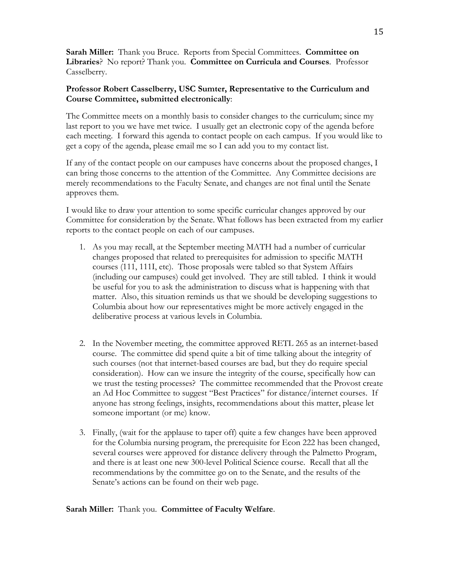**Sarah Miller:** Thank you Bruce. Reports from Special Committees. **Committee on Libraries**? No report? Thank you. **Committee on Curricula and Courses**. Professor Casselberry.

# **Professor Robert Casselberry, USC Sumter, Representative to the Curriculum and Course Committee, submitted electronically**:

The Committee meets on a monthly basis to consider changes to the curriculum; since my last report to you we have met twice. I usually get an electronic copy of the agenda before each meeting. I forward this agenda to contact people on each campus. If you would like to get a copy of the agenda, please email me so I can add you to my contact list.

If any of the contact people on our campuses have concerns about the proposed changes, I can bring those concerns to the attention of the Committee. Any Committee decisions are merely recommendations to the Faculty Senate, and changes are not final until the Senate approves them.

I would like to draw your attention to some specific curricular changes approved by our Committee for consideration by the Senate. What follows has been extracted from my earlier reports to the contact people on each of our campuses.

- 1. As you may recall, at the September meeting MATH had a number of curricular changes proposed that related to prerequisites for admission to specific MATH courses (111, 111I, etc). Those proposals were tabled so that System Affairs (including our campuses) could get involved. They are still tabled. I think it would be useful for you to ask the administration to discuss what is happening with that matter. Also, this situation reminds us that we should be developing suggestions to Columbia about how our representatives might be more actively engaged in the deliberative process at various levels in Columbia.
- 2. In the November meeting, the committee approved RETL 265 as an internet-based course. The committee did spend quite a bit of time talking about the integrity of such courses (not that internet-based courses are bad, but they do require special consideration). How can we insure the integrity of the course, specifically how can we trust the testing processes? The committee recommended that the Provost create an Ad Hoc Committee to suggest "Best Practices" for distance/internet courses. If anyone has strong feelings, insights, recommendations about this matter, please let someone important (or me) know.
- 3. Finally, (wait for the applause to taper off) quite a few changes have been approved for the Columbia nursing program, the prerequisite for Econ 222 has been changed, several courses were approved for distance delivery through the Palmetto Program, and there is at least one new 300-level Political Science course. Recall that all the recommendations by the committee go on to the Senate, and the results of the Senate's actions can be found on their web page.

### **Sarah Miller:** Thank you. **Committee of Faculty Welfare**.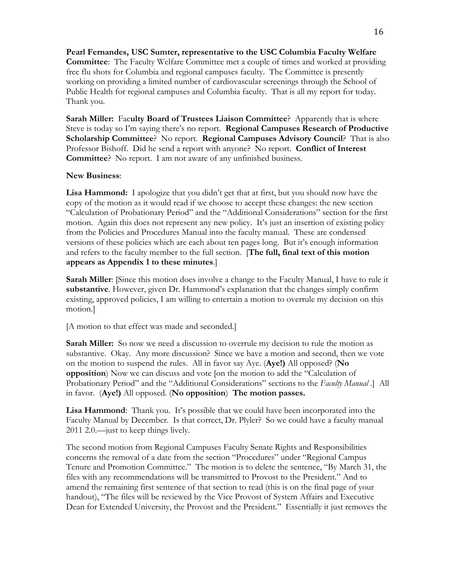**Pearl Fernandes, USC Sumter, representative to the USC Columbia Faculty Welfare Committee**: The Faculty Welfare Committee met a couple of times and worked at providing free flu shots for Columbia and regional campuses faculty. The Committee is presently working on providing a limited number of cardiovascular screenings through the School of Public Health for regional campuses and Columbia faculty. That is all my report for today. Thank you.

**Sarah Miller:** Fac**ulty Board of Trustees Liaison Committee**? Apparently that is where Steve is today so I'm saying there's no report. **Regional Campuses Research of Productive Scholarship Committee**? No report. **Regional Campuses Advisory Council**? That is also Professor Bishoff. Did he send a report with anyone? No report. **Conflict of Interest Committee**? No report. I am not aware of any unfinished business.

### **New Business**:

**Lisa Hammond:** I apologize that you didn't get that at first, but you should now have the copy of the motion as it would read if we choose to accept these changes: the new section "Calculation of Probationary Period" and the "Additional Considerations" section for the first motion. Again this does not represent any new policy. It's just an insertion of existing policy from the Policies and Procedures Manual into the faculty manual. These are condensed versions of these policies which are each about ten pages long. But it's enough information and refers to the faculty member to the full section. [**The full, final text of this motion appears as Appendix 1 to these minutes**.]

**Sarah Miller**: [Since this motion does involve a change to the Faculty Manual, I have to rule it **substantive**. However, given Dr. Hammond's explanation that the changes simply confirm existing, approved policies, I am willing to entertain a motion to overrule my decision on this motion.]

[A motion to that effect was made and seconded.]

**Sarah Miller:** So now we need a discussion to overrule my decision to rule the motion as substantive. Okay. Any more discussion? Since we have a motion and second, then we vote on the motion to suspend the rules. All in favor say Aye. (**Aye!)** All opposed? (**No opposition**) Now we can discuss and vote [on the motion to add the "Calculation of Probationary Period" and the "Additional Considerations" sections to the *Faculty Manual* .] All in favor. (**Aye!)** All opposed. (**No opposition**) **The motion passes.**

**Lisa Hammond**: Thank you. It's possible that we could have been incorporated into the Faculty Manual by December. Is that correct, Dr. Plyler? So we could have a faculty manual 2011 2.0.—just to keep things lively.

The second motion from Regional Campuses Faculty Senate Rights and Responsibilities concerns the removal of a date from the section "Procedures" under "Regional Campus Tenure and Promotion Committee." The motion is to delete the sentence, "By March 31, the files with any recommendations will be transmitted to Provost to the President." And to amend the remaining first sentence of that section to read (this is on the final page of your handout), "The files will be reviewed by the Vice Provost of System Affairs and Executive Dean for Extended University, the Provost and the President." Essentially it just removes the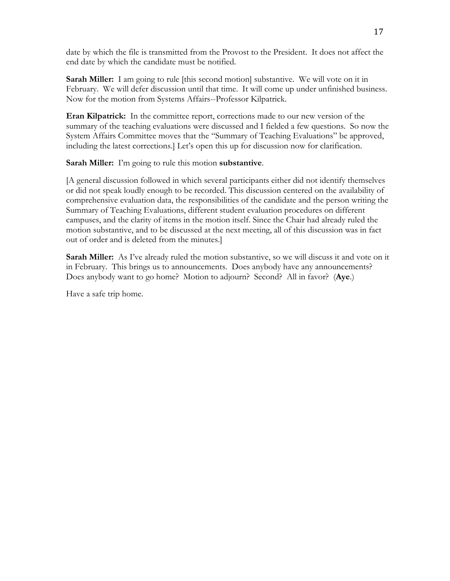date by which the file is transmitted from the Provost to the President. It does not affect the end date by which the candidate must be notified.

**Sarah Miller:** I am going to rule [this second motion] substantive. We will vote on it in February. We will defer discussion until that time. It will come up under unfinished business. Now for the motion from Systems Affairs--Professor Kilpatrick.

**Eran Kilpatrick:** In the committee report, corrections made to our new version of the summary of the teaching evaluations were discussed and I fielded a few questions. So now the System Affairs Committee moves that the "Summary of Teaching Evaluations" be approved, including the latest corrections.] Let's open this up for discussion now for clarification.

**Sarah Miller:** I'm going to rule this motion **substantive**.

[A general discussion followed in which several participants either did not identify themselves or did not speak loudly enough to be recorded. This discussion centered on the availability of comprehensive evaluation data, the responsibilities of the candidate and the person writing the Summary of Teaching Evaluations, different student evaluation procedures on different campuses, and the clarity of items in the motion itself. Since the Chair had already ruled the motion substantive, and to be discussed at the next meeting, all of this discussion was in fact out of order and is deleted from the minutes.]

**Sarah Miller:** As I've already ruled the motion substantive, so we will discuss it and vote on it in February. This brings us to announcements. Does anybody have any announcements? Does anybody want to go home? Motion to adjourn? Second? All in favor? (**Aye**.)

Have a safe trip home.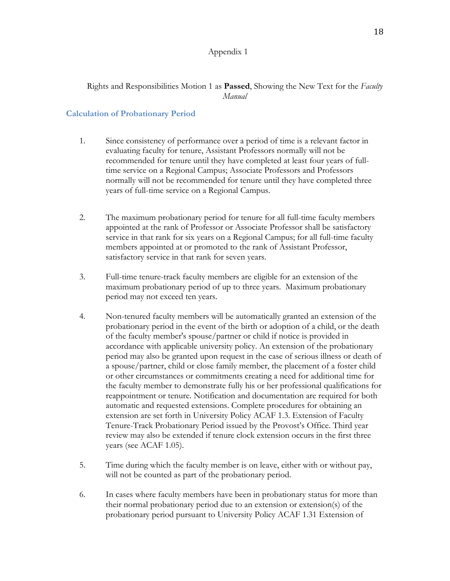#### Appendix 1

# Rights and Responsibilities Motion 1 as **Passed**, Showing the New Text for the *Faculty Manual*

#### **Calculation of Probationary Period**

- 1. Since consistency of performance over a period of time is a relevant factor in evaluating faculty for tenure, Assistant Professors normally will not be recommended for tenure until they have completed at least four years of fulltime service on a Regional Campus; Associate Professors and Professors normally will not be recommended for tenure until they have completed three years of full-time service on a Regional Campus.
- 2. The maximum probationary period for tenure for all full-time faculty members appointed at the rank of Professor or Associate Professor shall be satisfactory service in that rank for six years on a Regional Campus; for all full-time faculty members appointed at or promoted to the rank of Assistant Professor, satisfactory service in that rank for seven years.
- 3. Full-time tenure-track faculty members are eligible for an extension of the maximum probationary period of up to three years. Maximum probationary period may not exceed ten years.
- 4. Non-tenured faculty members will be automatically granted an extension of the probationary period in the event of the birth or adoption of a child, or the death of the faculty member's spouse/partner or child if notice is provided in accordance with applicable university policy. An extension of the probationary period may also be granted upon request in the case of serious illness or death of a spouse/partner, child or close family member, the placement of a foster child or other circumstances or commitments creating a need for additional time for the faculty member to demonstrate fully his or her professional qualifications for reappointment or tenure. Notification and documentation are required for both automatic and requested extensions. Complete procedures for obtaining an extension are set forth in University Policy ACAF 1.3. Extension of Faculty Tenure-Track Probationary Period issued by the Provost's Office. Third year review may also be extended if tenure clock extension occurs in the first three years (see ACAF 1.05).
- 5. Time during which the faculty member is on leave, either with or without pay, will not be counted as part of the probationary period.
- 6. In cases where faculty members have been in probationary status for more than their normal probationary period due to an extension or extension(s) of the probationary period pursuant to University Policy ACAF 1.31 Extension of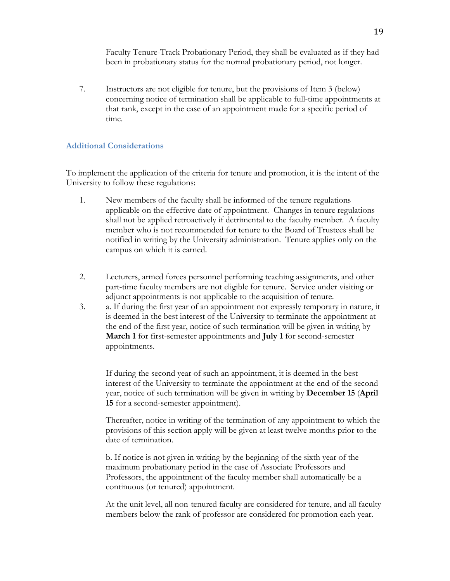Faculty Tenure-Track Probationary Period, they shall be evaluated as if they had been in probationary status for the normal probationary period, not longer.

7. Instructors are not eligible for tenure, but the provisions of Item 3 (below) concerning notice of termination shall be applicable to full-time appointments at that rank, except in the case of an appointment made for a specific period of time.

# **Additional Considerations**

To implement the application of the criteria for tenure and promotion, it is the intent of the University to follow these regulations:

- 1. New members of the faculty shall be informed of the tenure regulations applicable on the effective date of appointment. Changes in tenure regulations shall not be applied retroactively if detrimental to the faculty member. A faculty member who is not recommended for tenure to the Board of Trustees shall be notified in writing by the University administration. Tenure applies only on the campus on which it is earned.
- 2. Lecturers, armed forces personnel performing teaching assignments, and other part-time faculty members are not eligible for tenure. Service under visiting or adjunct appointments is not applicable to the acquisition of tenure.
- 3. a. If during the first year of an appointment not expressly temporary in nature, it is deemed in the best interest of the University to terminate the appointment at the end of the first year, notice of such termination will be given in writing by **March 1** for first-semester appointments and **July 1** for second-semester appointments.

If during the second year of such an appointment, it is deemed in the best interest of the University to terminate the appointment at the end of the second year, notice of such termination will be given in writing by **December 15** (**April 15** for a second-semester appointment).

Thereafter, notice in writing of the termination of any appointment to which the provisions of this section apply will be given at least twelve months prior to the date of termination.

b. If notice is not given in writing by the beginning of the sixth year of the maximum probationary period in the case of Associate Professors and Professors, the appointment of the faculty member shall automatically be a continuous (or tenured) appointment.

At the unit level, all non-tenured faculty are considered for tenure, and all faculty members below the rank of professor are considered for promotion each year.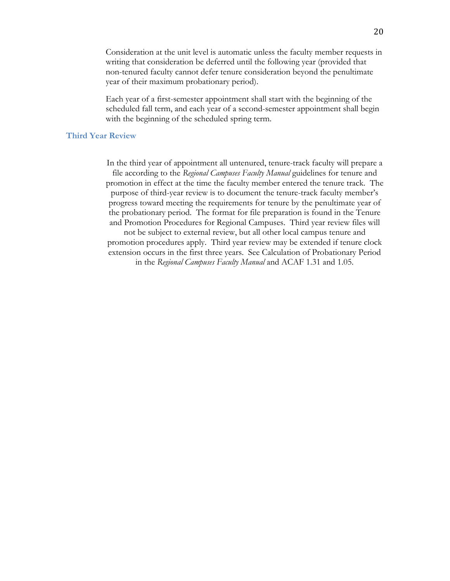Consideration at the unit level is automatic unless the faculty member requests in writing that consideration be deferred until the following year (provided that non-tenured faculty cannot defer tenure consideration beyond the penultimate year of their maximum probationary period).

Each year of a first-semester appointment shall start with the beginning of the scheduled fall term, and each year of a second-semester appointment shall begin with the beginning of the scheduled spring term.

#### **Third Year Review**

In the third year of appointment all untenured, tenure-track faculty will prepare a file according to the *Regional Campuses Faculty Manual* guidelines for tenure and promotion in effect at the time the faculty member entered the tenure track. The purpose of third-year review is to document the tenure-track faculty member's progress toward meeting the requirements for tenure by the penultimate year of the probationary period. The format for file preparation is found in the Tenure and Promotion Procedures for Regional Campuses. Third year review files will not be subject to external review, but all other local campus tenure and promotion procedures apply. Third year review may be extended if tenure clock extension occurs in the first three years. See Calculation of Probationary Period in the *Regional Campuses Faculty Manual* and ACAF 1.31 and 1.05.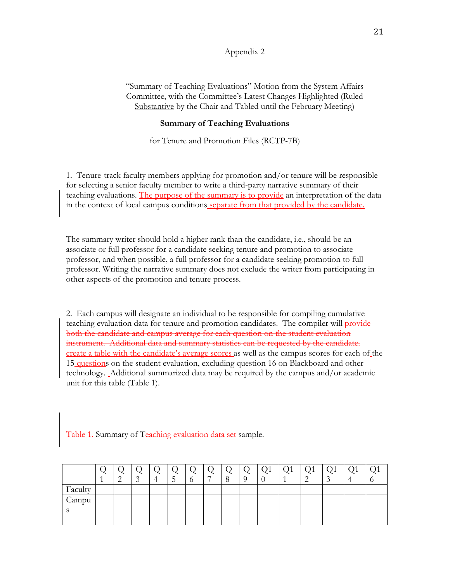#### Appendix 2

"Summary of Teaching Evaluations" Motion from the System Affairs Committee, with the Committee's Latest Changes Highlighted (Ruled Substantive by the Chair and Tabled until the February Meeting)

#### **Summary of Teaching Evaluations**

for Tenure and Promotion Files (RCTP-7B)

1. Tenure-track faculty members applying for promotion and/or tenure will be responsible for selecting a senior faculty member to write a third-party narrative summary of their teaching evaluations. The purpose of the summary is to provide an interpretation of the data in the context of local campus conditions separate from that provided by the candidate.

The summary writer should hold a higher rank than the candidate, i.e., should be an associate or full professor for a candidate seeking tenure and promotion to associate professor, and when possible, a full professor for a candidate seeking promotion to full professor. Writing the narrative summary does not exclude the writer from participating in other aspects of the promotion and tenure process.

2. Each campus will designate an individual to be responsible for compiling cumulative teaching evaluation data for tenure and promotion candidates. The compiler will provide both the candidate and campus average for each question on the student evaluation instrument. Additional data and summary statistics can be requested by the candidate. create a table with the candidate's average scores as well as the campus scores for each of the 15 questions on the student evaluation, excluding question 16 on Blackboard and other technology. Additional summarized data may be required by the campus and/or academic unit for this table (Table 1).

Table 1. Summary of Teaching evaluation data set sample.

|         |  | $\sim$ |  | $\overline{\phantom{0}}$ | $\circ$ | $\Omega$ | Q1 | Q1 | Q1 | Q1 |  |
|---------|--|--------|--|--------------------------|---------|----------|----|----|----|----|--|
| Faculty |  |        |  |                          |         |          |    |    |    |    |  |
| Campu   |  |        |  |                          |         |          |    |    |    |    |  |
|         |  |        |  |                          |         |          |    |    |    |    |  |
|         |  |        |  |                          |         |          |    |    |    |    |  |